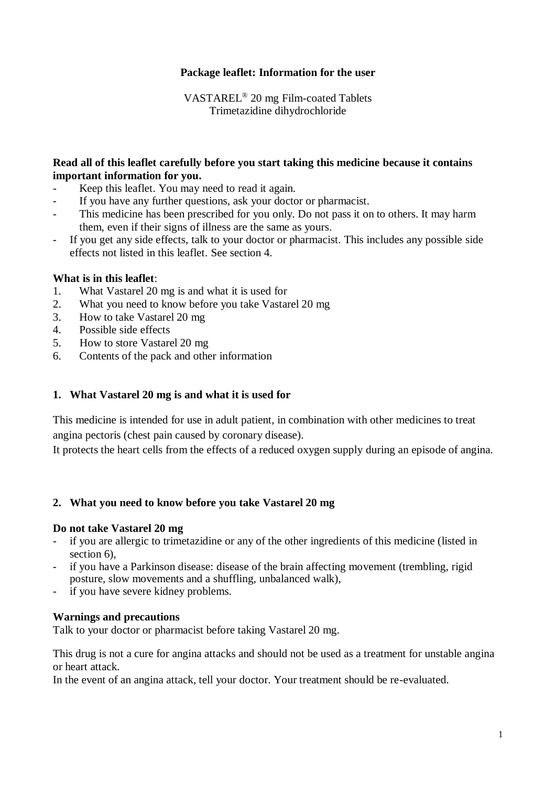# **Package leaflet: Information for the user**

VASTAREL® 20 mg Film-coated Tablets Trimetazidine dihydrochloride

## **Read all of this leaflet carefully before you start taking this medicine because it contains important information for you.**

- Keep this leaflet. You may need to read it again.
- If you have any further questions, ask your doctor or pharmacist.
- This medicine has been prescribed for you only. Do not pass it on to others. It may harm them, even if their signs of illness are the same as yours.
- If you get any side effects, talk to your doctor or pharmacist. This includes any possible side effects not listed in this leaflet. See section 4.

#### **What is in this leaflet**:

- 1. What Vastarel 20 mg is and what it is used for
- 2. What you need to know before you take Vastarel 20 mg
- 3. How to take Vastarel 20 mg
- 4. Possible side effects
- 5. How to store Vastarel 20 mg
- 6. Contents of the pack and other information

# **1. What Vastarel 20 mg is and what it is used for**

This medicine is intended for use in adult patient, in combination with other medicines to treat angina pectoris (chest pain caused by coronary disease).

It protects the heart cells from the effects of a reduced oxygen supply during an episode of angina.

#### **2. What you need to know before you take Vastarel 20 mg**

#### **Do not take Vastarel 20 mg**

- if you are allergic to trimetazidine or any of the other ingredients of this medicine (listed in section 6),
- if you have a Parkinson disease: disease of the brain affecting movement (trembling, rigid posture, slow movements and a shuffling, unbalanced walk),
- if you have severe kidney problems.

#### **Warnings and precautions**

Talk to your doctor or pharmacist before taking Vastarel 20 mg.

This drug is not a cure for angina attacks and should not be used as a treatment for unstable angina or heart attack.

In the event of an angina attack, tell your doctor. Your treatment should be re-evaluated.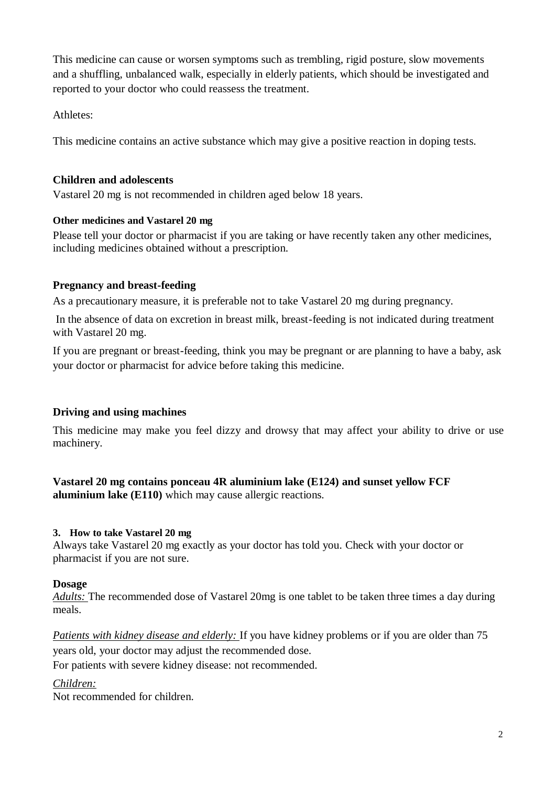This medicine can cause or worsen symptoms such as trembling, rigid posture, slow movements and a shuffling, unbalanced walk, especially in elderly patients, which should be investigated and reported to your doctor who could reassess the treatment.

Athletes:

This medicine contains an active substance which may give a positive reaction in doping tests.

## **Children and adolescents**

Vastarel 20 mg is not recommended in children aged below 18 years.

## **Other medicines and Vastarel 20 mg**

Please tell your doctor or pharmacist if you are taking or have recently taken any other medicines, including medicines obtained without a prescription.

# **Pregnancy and breast-feeding**

As a precautionary measure, it is preferable not to take Vastarel 20 mg during pregnancy.

In the absence of data on excretion in breast milk, breast-feeding is not indicated during treatment with Vastarel 20 mg.

If you are pregnant or breast-feeding, think you may be pregnant or are planning to have a baby, ask your doctor or pharmacist for advice before taking this medicine.

# **Driving and using machines**

This medicine may make you feel dizzy and drowsy that may affect your ability to drive or use machinery.

**Vastarel 20 mg contains ponceau 4R aluminium lake (E124) and sunset yellow FCF aluminium lake (E110)** which may cause allergic reactions.

#### **3. How to take Vastarel 20 mg**

Always take Vastarel 20 mg exactly as your doctor has told you. Check with your doctor or pharmacist if you are not sure.

# **Dosage**

*Adults:* The recommended dose of Vastarel 20mg is one tablet to be taken three times a day during meals.

*Patients with kidney disease and elderly:* If you have kidney problems or if you are older than 75 years old, your doctor may adjust the recommended dose.

For patients with severe kidney disease: not recommended.

# *Children:*

Not recommended for children.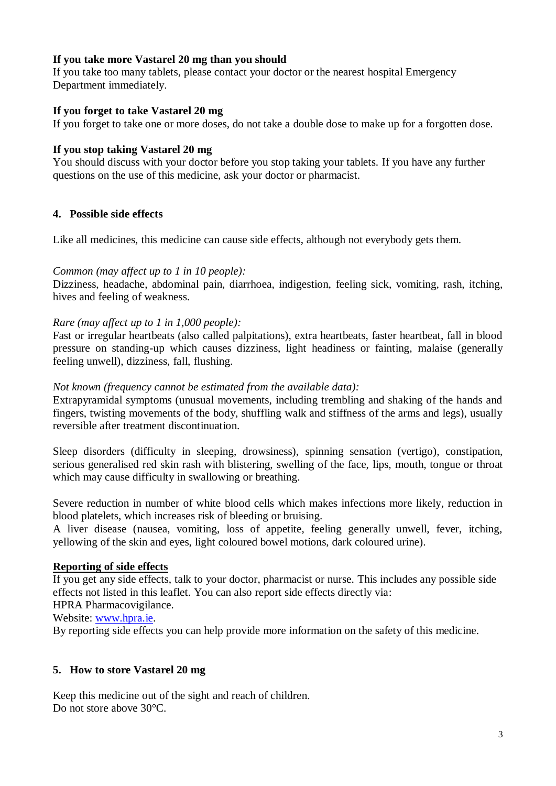# **If you take more Vastarel 20 mg than you should**

If you take too many tablets, please contact your doctor or the nearest hospital Emergency Department immediately.

#### **If you forget to take Vastarel 20 mg**

If you forget to take one or more doses, do not take a double dose to make up for a forgotten dose.

# **If you stop taking Vastarel 20 mg**

You should discuss with your doctor before you stop taking your tablets. If you have any further questions on the use of this medicine, ask your doctor or pharmacist.

# **4. Possible side effects**

Like all medicines, this medicine can cause side effects, although not everybody gets them.

## *Common (may affect up to 1 in 10 people):*

Dizziness, headache, abdominal pain, diarrhoea, indigestion, feeling sick, vomiting, rash, itching, hives and feeling of weakness.

## *Rare (may affect up to 1 in 1,000 people):*

Fast or irregular heartbeats (also called palpitations), extra heartbeats, faster heartbeat, fall in blood pressure on standing-up which causes dizziness, light headiness or fainting, malaise (generally feeling unwell), dizziness, fall, flushing.

## *Not known (frequency cannot be estimated from the available data):*

Extrapyramidal symptoms (unusual movements, including trembling and shaking of the hands and fingers, twisting movements of the body, shuffling walk and stiffness of the arms and legs), usually reversible after treatment discontinuation.

Sleep disorders (difficulty in sleeping, drowsiness), spinning sensation (vertigo), constipation, serious generalised red skin rash with blistering, swelling of the face, lips, mouth, tongue or throat which may cause difficulty in swallowing or breathing.

Severe reduction in number of white blood cells which makes infections more likely, reduction in blood platelets, which increases risk of bleeding or bruising.

A liver disease (nausea, vomiting, loss of appetite, feeling generally unwell, fever, itching, yellowing of the skin and eyes, light coloured bowel motions, dark coloured urine).

#### **Reporting of side effects**

If you get any side effects, talk to your doctor, pharmacist or nurse. This includes any possible side effects not listed in this leaflet. You can also report side effects directly via:

HPRA Pharmacovigilance.

Website: [www.hpra.ie.](http://www.hpra.ie/)

By reporting side effects you can help provide more information on the safety of this medicine.

# **5. How to store Vastarel 20 mg**

Keep this medicine out of the sight and reach of children. Do not store above 30°C.